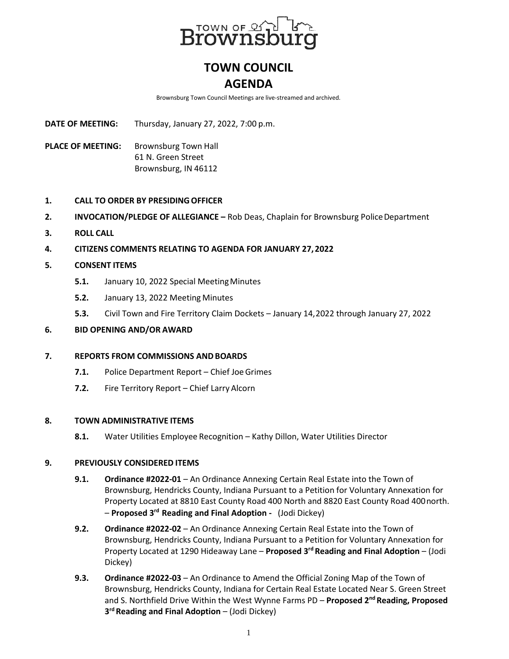

# **TOWN COUNCIL AGENDA**

Brownsburg Town Council Meetings are live-streamed and archived.

**DATE OF MEETING:** Thursday, January 27, 2022, 7:00 p.m.

**PLACE OF MEETING:** Brownsburg Town Hall 61 N. Green Street Brownsburg, IN 46112

# **1. CALL TO ORDER BY PRESIDINGOFFICER**

- **2. INVOCATION/PLEDGE OF ALLEGIANCE** Rob Deas, Chaplain for Brownsburg Police Department
- **3. ROLL CALL**
- **4. CITIZENS COMMENTS RELATING TO AGENDA FOR JANUARY 27, 2022**
- **5. CONSENT ITEMS**
	- **5.1.** January 10, 2022 Special MeetingMinutes
	- **5.2.** January 13, 2022 Meeting Minutes
	- **5.3.** Civil Town and Fire Territory Claim Dockets January 14,2022 through January 27, 2022

# **6. BID OPENING AND/OR AWARD**

# **7. REPORTS FROM COMMISSIONS ANDBOARDS**

- **7.1.** Police Department Report Chief Joe Grimes
- **7.2.** Fire Territory Report Chief Larry Alcorn

# **8. TOWN ADMINISTRATIVE ITEMS**

**8.1.** Water Utilities Employee Recognition – Kathy Dillon, Water Utilities Director

# **9. PREVIOUSLY CONSIDERED ITEMS**

- **9.1. Ordinance #2022-01**  An Ordinance Annexing Certain Real Estate into the Town of Brownsburg, Hendricks County, Indiana Pursuant to a Petition for Voluntary Annexation for Property Located at 8810 East County Road 400 North and 8820 East County Road 400north. – **Proposed 3rd Reading and Final Adoption -** (Jodi Dickey)
- **9.2. Ordinance #2022-02**  An Ordinance Annexing Certain Real Estate into the Town of Brownsburg, Hendricks County, Indiana Pursuant to a Petition for Voluntary Annexation for Property Located at 1290 Hideaway Lane – **Proposed 3rd Reading and Final Adoption** – (Jodi Dickey)
- **9.3. Ordinance #2022-03**  An Ordinance to Amend the Official Zoning Map of the Town of Brownsburg, Hendricks County, Indiana for Certain Real Estate Located Near S. Green Street and S. Northfield Drive Within the West Wynne Farms PD - **Proposed 2<sup>nd</sup> Reading, Proposed 3rd Reading and Final Adoption** – (Jodi Dickey)